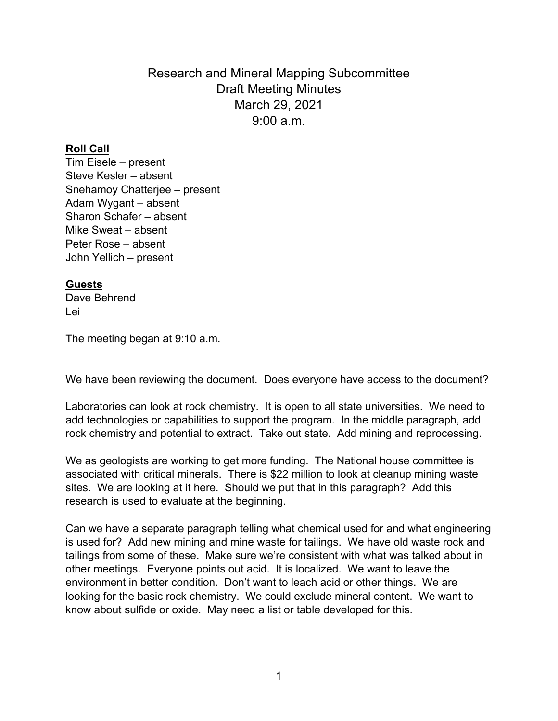Research and Mineral Mapping Subcommittee Draft Meeting Minutes March 29, 2021  $9.00 a m$ 

## **Roll Call**

Tim Eisele – present Steve Kesler – absent Snehamoy Chatterjee – present Adam Wygant – absent Sharon Schafer – absent Mike Sweat – absent Peter Rose – absent John Yellich – present

## **Guests**

Dave Behrend Lei

The meeting began at 9:10 a.m.

We have been reviewing the document. Does everyone have access to the document?

Laboratories can look at rock chemistry. It is open to all state universities. We need to add technologies or capabilities to support the program. In the middle paragraph, add rock chemistry and potential to extract. Take out state. Add mining and reprocessing.

We as geologists are working to get more funding. The National house committee is associated with critical minerals. There is \$22 million to look at cleanup mining waste sites. We are looking at it here. Should we put that in this paragraph? Add this research is used to evaluate at the beginning.

Can we have a separate paragraph telling what chemical used for and what engineering is used for? Add new mining and mine waste for tailings. We have old waste rock and tailings from some of these. Make sure we're consistent with what was talked about in other meetings. Everyone points out acid. It is localized. We want to leave the environment in better condition. Don't want to leach acid or other things. We are looking for the basic rock chemistry. We could exclude mineral content. We want to know about sulfide or oxide. May need a list or table developed for this.